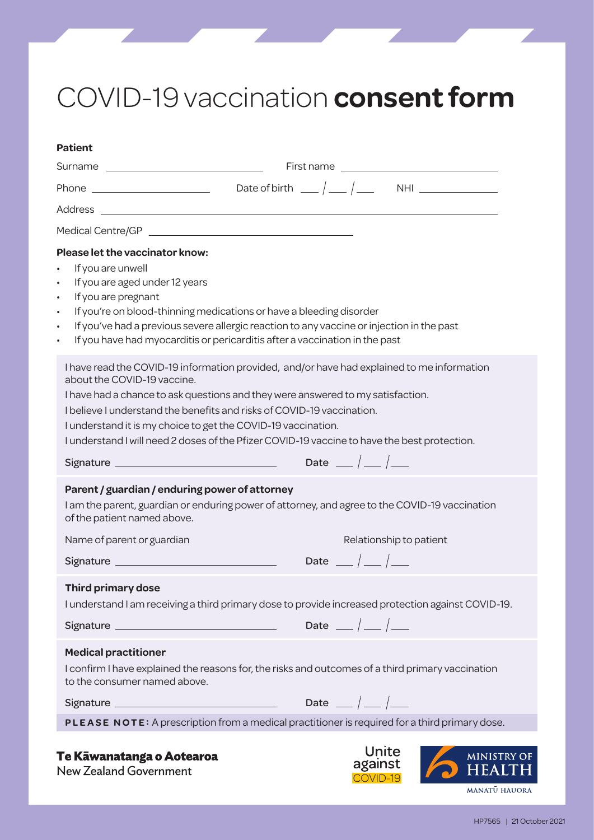## COVID-19 vaccination **consent form**

| <b>Patient</b>                                 |                                                                                                                                                                          |                    |
|------------------------------------------------|--------------------------------------------------------------------------------------------------------------------------------------------------------------------------|--------------------|
|                                                |                                                                                                                                                                          |                    |
|                                                |                                                                                                                                                                          |                    |
|                                                |                                                                                                                                                                          |                    |
|                                                |                                                                                                                                                                          |                    |
| Please let the vaccinator know:                |                                                                                                                                                                          |                    |
| If you are unwell<br>$\bullet$                 |                                                                                                                                                                          |                    |
| If you are aged under 12 years<br>$\bullet$    |                                                                                                                                                                          |                    |
| If you are pregnant<br>$\bullet$               |                                                                                                                                                                          |                    |
| $\bullet$                                      | If you're on blood-thinning medications or have a bleeding disorder                                                                                                      |                    |
| $\bullet$<br>$\bullet$                         | If you've had a previous severe allergic reaction to any vaccine or injection in the past<br>If you have had myocarditis or pericarditis after a vaccination in the past |                    |
|                                                |                                                                                                                                                                          |                    |
|                                                | I have read the COVID-19 information provided, and/or have had explained to me information                                                                               |                    |
| about the COVID-19 vaccine.                    |                                                                                                                                                                          |                    |
|                                                | I have had a chance to ask questions and they were answered to my satisfaction.                                                                                          |                    |
|                                                | I believe I understand the benefits and risks of COVID-19 vaccination.<br>I understand it is my choice to get the COVID-19 vaccination.                                  |                    |
|                                                | I understand I will need 2 doses of the Pfizer COVID-19 vaccine to have the best protection.                                                                             |                    |
|                                                |                                                                                                                                                                          |                    |
|                                                | Date $\frac{\phantom{0}}{\phantom{0}}\qquad\phantom{0}}/\qquad\qquad$                                                                                                    |                    |
| Parent / guardian / enduring power of attorney |                                                                                                                                                                          |                    |
|                                                | I am the parent, guardian or enduring power of attorney, and agree to the COVID-19 vaccination                                                                           |                    |
| of the patient named above.                    |                                                                                                                                                                          |                    |
| Name of parent or guardian                     | Relationship to patient                                                                                                                                                  |                    |
|                                                | Date $\frac{\ }{\ }$ $\frac{\ }{\ }$                                                                                                                                     |                    |
| Third primary dose                             |                                                                                                                                                                          |                    |
|                                                | I understand I am receiving a third primary dose to provide increased protection against COVID-19.                                                                       |                    |
|                                                |                                                                                                                                                                          |                    |
|                                                | Date $\frac{\ }{\ }$ $\frac{\ }{\ }$                                                                                                                                     |                    |
| <b>Medical practitioner</b>                    |                                                                                                                                                                          |                    |
|                                                | I confirm I have explained the reasons for, the risks and outcomes of a third primary vaccination                                                                        |                    |
| to the consumer named above.                   |                                                                                                                                                                          |                    |
|                                                | Date $_{-}/_{-}/_{-}$                                                                                                                                                    |                    |
|                                                | PLEASE NOTE: A prescription from a medical practitioner is required for a third primary dose.                                                                            |                    |
|                                                |                                                                                                                                                                          |                    |
| Te Kāwanatanga o Aotearoa                      | Unite                                                                                                                                                                    | <b>MINISTRY OI</b> |
| <b>New Zealand Government</b>                  | against                                                                                                                                                                  |                    |

MANATŪ HAUORA

COVID-19

HP7565 | 21 October 2021